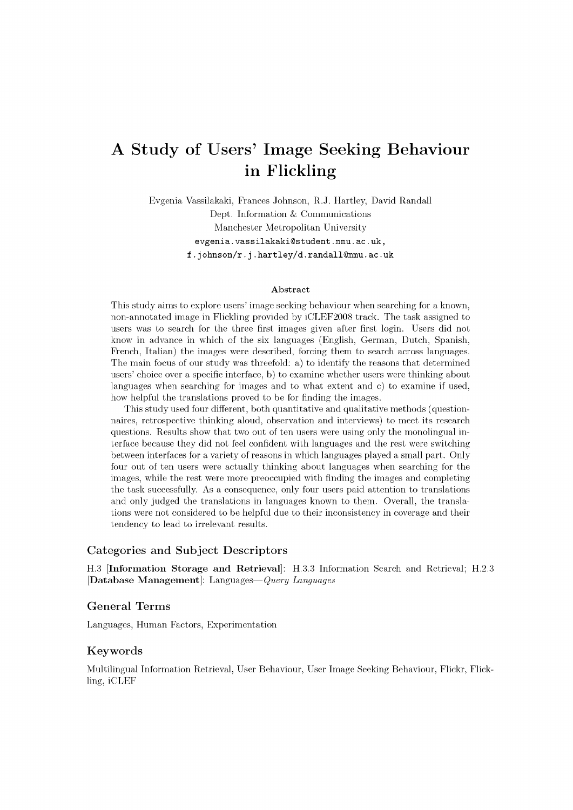# **A Study of Users' Image Seeking Behaviour in Flickling**

Evgenia Vassilakaki, Frances Johnson, R.J. Hartley, David Randall Dept. Information & Communications Manchester Metropolitan University **[evgenia.vassilakaki@student.mmu.ac.uk,](mailto:evgenia.vassilakaki@student.mmu.ac.uk) f.johnson/r.j.hartley/[d.randall@mmu.ac.uk](mailto:d.randall@mmu.ac.uk)**

#### **Abstract**

This study aims to explore users' image seeking behaviour when searching for a known, non-annotated image in Flickling provided by iCLEF2008 track. The task assigned to users was to search for the three first images given after first login. Users did not know in advance in which of the six languages (English, German, Dutch, Spanish, French, Italian) the images were described, forcing them to search across languages. The main focus of our study was threefold: a) to identify the reasons that determined users' choice over a specific interface, b ) to examine whether users were thinking about languages when searching for images and to what extent and c) to examine if used, how helpful the translations proved to be for finding the images.

This study used four different, both quantitative and qualitative methods (questionnaires, retrospective thinking aloud, observation and interviews) to meet its research questions. Results show that two out of ten users were using only the monolingual interface because they did not feel confident with languages and the rest were switching between interfaces for a variety of reasons in which languages played a small part. Only four out of ten users were actually thinking about languages when searching for the images, while the rest were more preoccupied with finding the images and completing the task successfully. As a consequence, only four users paid attention to translations and only judged the translations in languages known to them. Overall, the translations were not considered to be helpful due to their inconsistency in coverage and their tendency to lead to irrelevant results.

#### **Categories and Subject Descriptors**

H.3 **[Information Storage and Retrieval**]: H.3.3 Information Search and Retrieval; H.2.3 [D atabase M anagem ent]: Languages*— Query Languages*

#### **General Terms**

Languages, Human Factors, Experimentation

#### **Keywords**

Multilingual Information Retrieval, User Behaviour, User Image Seeking Behaviour, Flickr, Flickling, iCLEF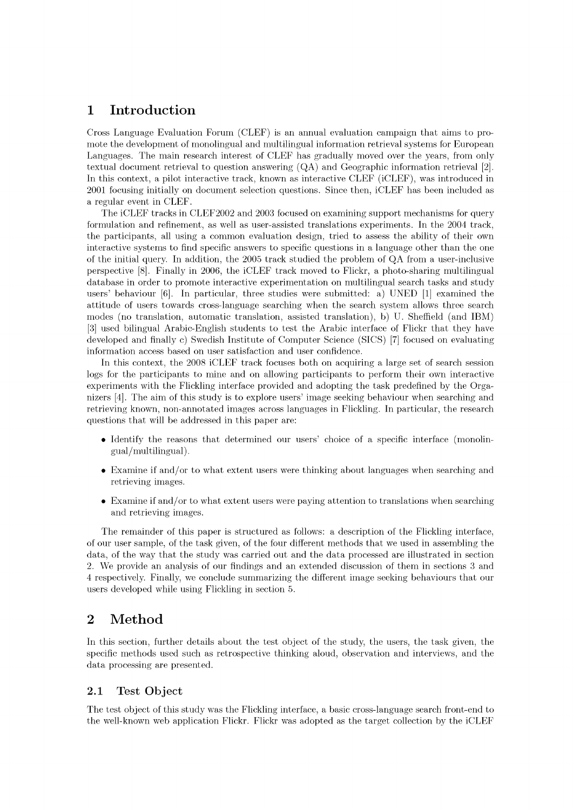# **1 Introduction**

Cross Language Evaluation Forum (CLEF) is an annual evaluation campaign that aims to promote the development of monolingual and multilingual information retrieval systems for European Languages. The main research interest of CLEF has gradually moved over the years, from only textual document retrieval to question answering (QA) and Geographic information retrieval [2]. In this context, a pilot interactive track, known as interactive CLEF (iCLEF), was introduced in 2001 focusing initially on document selection questions. Since then, iCLEF has been included as a regular event in CLEF.

The iCLEF tracks in CLEF2002 and 2003 focused on examining support mechanisms for query formulation and refinement, as well as user-assisted translations experiments. In the 2004 track, the participants, all using a common evaluation design, tried to assess the ability of their own interactive systems to find specific answers to specific questions in a language other than the one of the initial query. In addition, the 2005 track studied the problem of QA from a user-inclusive perspective [8]. Finally in 2006, the iCLEF track moved to Flickr, a photo-sharing multilingual database in order to promote interactive experimentation on multilingual search tasks and study users' behaviour [6]. In particular, three studies were submitted: a) UNED [1] examined the attitude of users towards cross-language searching when the search system allows three search modes (no translation, automatic translation, assisted translation), b) U. Sheffield (and IBM) [3] used bilingual Arabic-English students to test the Arabic interface of Flickr that they have developed and finally c) Swedish Institute of Computer Science (SICS) [7] focused on evaluating information access based on user satisfaction and user confidence.

In this context, the 2008 iCLEF track focuses both on acquiring a large set of search session logs for the participants to mine and on allowing participants to perform their own interactive experiments with the Flickling interface provided and adopting the task predefined by the Organizers [4]. The aim of this study is to explore users' image seeking behaviour when searching and retrieving known, non-annotated images across languages in Flickling. In particular, the research questions that will be addressed in this paper are:

- Identify the reasons that determined our users' choice of a specific interface (monolingual/multilingual).
- Examine if and/or to what extent users were thinking about languages when searching and retrieving images.
- Examine if and/or to what extent users were paying attention to translations when searching and retrieving images.

The remainder of this paper is structured as follows: a description of the Flickling interface, of our user sample, of the task given, of the four different methods that we used in assembling the data, of the way that the study was carried out and the data processed are illustrated in section 2. We provide an analysis of our findings and an extended discussion of them in sections 3 and 4 respectively. Finally, we conclude summarizing the different image seeking behaviours that our users developed while using Flickling in section 5.

# **2 Method**

In this section, further details about the test object of the study, the users, the task given, the specific methods used such as retrospective thinking aloud, observation and interviews, and the data processing are presented.

### **2.1 Test Object**

The test object of this study was the Flickling interface, a basic cross-language search front-end to the well-known web application Flickr. Flickr was adopted as the target collection by the iCLEF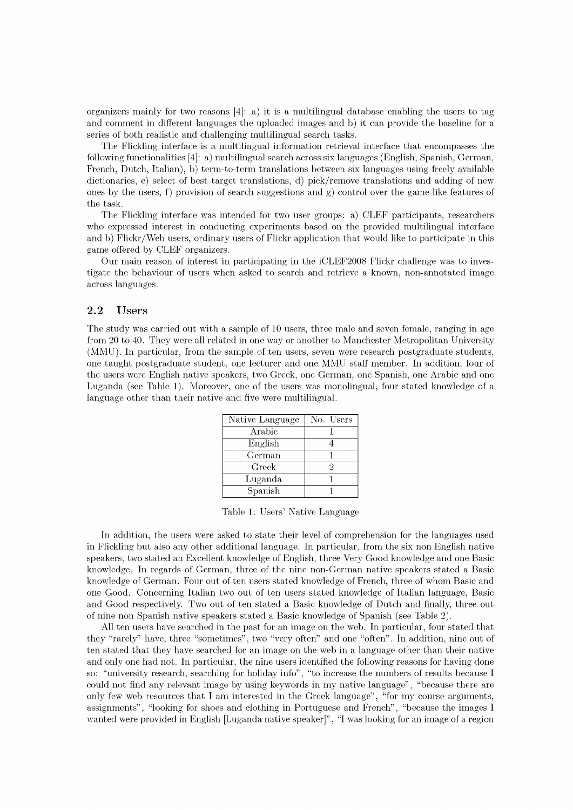organizers mainly for two reasons  $[4]$ : a) it is a multilingual database enabling the users to tag and comment in different languages the uploaded images and b) it can provide the baseline for a series of both realistic and challenging multilingual search tasks.

The Flickling interface is a multilingual information retrieval interface that encompasses the following functionalities [4]: a) multilingual search across six languages (English, Spanish, German, French, Dutch, Italian), b) term-to-term translations between six languages using freely available dictionaries, c) select of best target translations, d) pick/remove translations and adding of new ones by the users, f) provision of search suggestions and g) control over the game-like features of the task.

The Flickling interface was intended for two user groups: a) CLEF participants, researchers who expressed interest in conducting experiments based on the provided multilingual interface and b) Flickr/Web users, ordinary users of Flickr application that would like to participate in this game offered by CLEF organizers.

Our main reason of interest in participating in the iCLEF2008 Flickr challenge was to investigate the behaviour of users when asked to search and retrieve a known, non-annotated image across languages.

### **2.2 Users**

The study was carried out with a sample of 10 users, three male and seven female, ranging in age from 20 to 40. They were all related in one way or another to Manchester Metropolitan University (MMU). In particular, from the sample of ten users, seven were research postgraduate students, one taught postgraduate student, one lecturer and one MMU staff member. In addition, four of the users were English native speakers, two Greek, one German, one Spanish, one Arabic and one Luganda (see Table 1). Moreover, one of the users was monolingual, four stated knowledge of a language other than their native and five were multilingual.

| Native Language | No. Users |
|-----------------|-----------|
| Arabic          |           |
| English         |           |
| German          |           |
| Greek           | 2         |
| Luganda         |           |
| Spanish         |           |

Table 1: Users' Native Language

In addition, the users were asked to state their level of comprehension for the languages used in Flickling but also any other additional language. In particular, from the six non English native speakers, two stated an Excellent knowledge of English, three Very Good knowledge and one Basic knowledge. In regards of German, three of the nine non-German native speakers stated a Basic knowledge of German. Four out of ten users stated knowledge of French, three of whom Basic and one Good. Concerning Italian two out of ten users stated knowledge of Italian language, Basic and Good respectively. Two out of ten stated a Basic knowledge of Dutch and finally, three out of nine non Spanish native speakers stated a Basic knowledge of Spanish (see Table 2).

All ten users have searched in the past for an image on the web. In particular, four stated that they "rarely" have, three "sometimes" , two "very often" and one "often" . In addition, nine out of ten stated that they have searched for an image on the web in a language other than their native and only one had not. In particular, the nine users identified the following reasons for having done so: "university research, searching for holiday info" , "to increase the numbers of results because I could not find any relevant image by using keywords in my native language" , "because there are only few web resources that I am interested in the Greek language", "for my course arguments, assignments", "looking for shoes and clothing in Portuguese and French", "because the images I wanted were provided in English [Luganda native speaker]" , "I was looking for an image of a region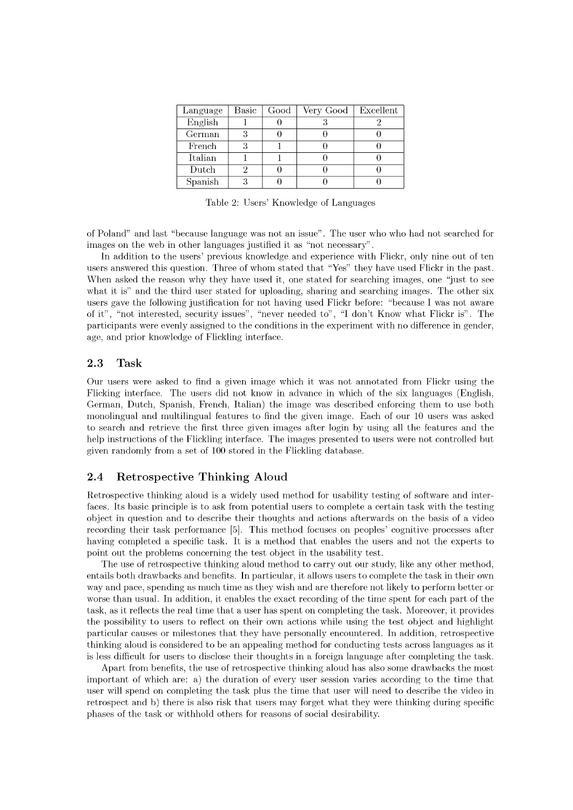| Language | Basic | Good | Very Good | Excellent |
|----------|-------|------|-----------|-----------|
| English  |       |      |           |           |
| German   |       |      |           |           |
| French   |       |      |           |           |
| Italian  |       |      |           |           |
| Dutch    |       |      |           |           |
| Spanish  | 0     |      |           |           |

Table 2: Users' Knowledge of Languages

of Poland" and last "because language was not an issue" . The user who who had not searched for images on the web in other languages justified it as "not necessary" .

In addition to the users' previous knowledge and experience with Flickr, only nine out of ten users answered this question. Three of whom stated that "Yes" they have used Flickr in the past. When asked the reason why they have used it, one stated for searching images, one "just to see what it is" and the third user stated for uploading, sharing and searching images. The other six users gave the following justification for not having used Flickr before: "because I was not aware of it", "not interested, security issues", "never needed to", "I don't Know what Flickr is". The participants were evenly assigned to the conditions in the experiment with no difference in gender, age, and prior knowledge of Flickling interface.

### **2.3 Task**

Our users were asked to find a given image which it was not annotated from Flickr using the Flicking interface. The users did not know in advance in which of the six languages (English, German, Dutch, Spanish, French, Italian) the image was described enforcing them to use both monolingual and multilingual features to find the given image. Each of our 10 users was asked to search and retrieve the first three given images after login by using all the features and the help instructions of the Flickling interface. The images presented to users were not controlled but given randomly from a set of 100 stored in the Flickling database.

#### **2.4 Retrospective Thinking Aloud**

Retrospective thinking aloud is a widely used method for usability testing of software and interfaces. Its basic principle is to ask from potential users to complete a certain task with the testing object in question and to describe their thoughts and actions afterwards on the basis of a video recording their task performance [5]. This method focuses on peoples' cognitive processes after having completed a specific task. It is a method that enables the users and not the experts to point out the problems concerning the test object in the usability test.

The use of retrospective thinking aloud method to carry out our study, like any other method, entails both drawbacks and benefits. In particular, it allows users to complete the task in their own way and pace, spending as much time as they wish and are therefore not likely to perform better or worse than usual. In addition, it enables the exact recording of the time spent for each part of the task, as it reflects the real time that a user has spent on completing the task. Moreover, it provides the possibility to users to reflect on their own actions while using the test object and highlight particular causes or milestones that they have personally encountered. In addition, retrospective thinking aloud is considered to be an appealing method for conducting tests across languages as it is less difficult for users to disclose their thoughts in a foreign language after completing the task.

Apart from benefits, the use of retrospective thinking aloud has also some drawbacks the most important of which are: a) the duration of every user session varies according to the time that user will spend on completing the task plus the time that user will need to describe the video in retrospect and b) there is also risk that users may forget what they were thinking during specific phases of the task or withhold others for reasons of social desirability.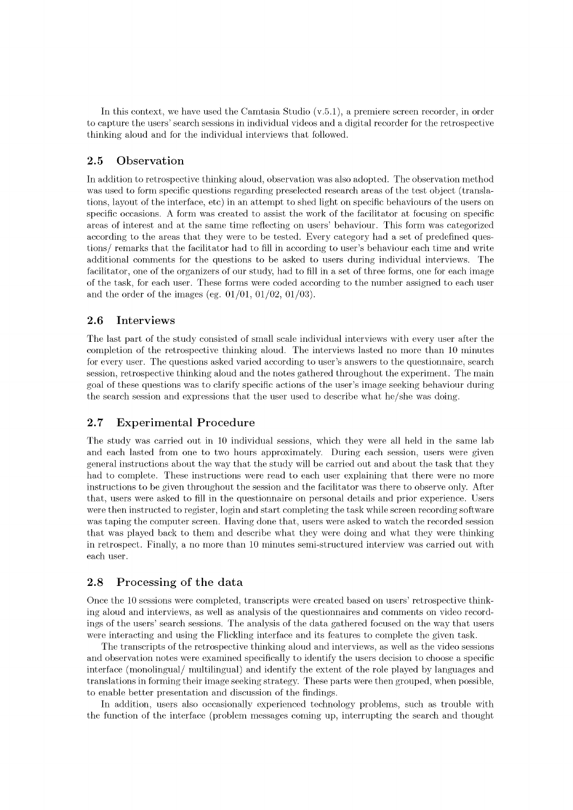In this context, we have used the Camtasia Studio (v.5.1), a premiere screen recorder, in order to capture the users' search sessions in individual videos and a digital recorder for the retrospective thinking aloud and for the individual interviews that followed.

# **2.5 Observation**

In addition to retrospective thinking aloud, observation was also adopted. The observation method was used to form specific questions regarding preselected research areas of the test object (translations, layout of the interface, etc) in an attempt to shed light on specific behaviours of the users on specific occasions. A form was created to assist the work of the facilitator at focusing on specific areas of interest and at the same time reflecting on users' behaviour. This form was categorized according to the areas that they were to be tested. Every category had a set of predefined questions/ remarks that the facilitator had to fill in according to user's behaviour each time and write additional comments for the questions to be asked to users during individual interviews. The facilitator, one of the organizers of our study, had to fill in a set of three forms, one for each image of the task, for each user. These forms were coded according to the number assigned to each user and the order of the images (eg. 01/01, 01/02, 01/03).

### **2.6 Interviews**

The last part of the study consisted of small scale individual interviews with every user after the completion of the retrospective thinking aloud. The interviews lasted no more than 10 minutes for every user. The questions asked varied according to user's answers to the questionnaire, search session, retrospective thinking aloud and the notes gathered throughout the experiment. The main goal of these questions was to clarify specific actions of the user's image seeking behaviour during the search session and expressions that the user used to describe what he/she was doing.

#### **2.7 Experimental Procedure**

The study was carried out in 10 individual sessions, which they were all held in the same lab and each lasted from one to two hours approximately. During each session, users were given general instructions about the way that the study will be carried out and about the task that they had to complete. These instructions were read to each user explaining that there were no more instructions to be given throughout the session and the facilitator was there to observe only. After that, users were asked to fill in the questionnaire on personal details and prior experience. Users were then instructed to register, login and start completing the task while screen recording software was taping the computer screen. Having done that, users were asked to watch the recorded session that was played back to them and describe what they were doing and what they were thinking in retrospect. Finally, a no more than 10 minutes semi-structured interview was carried out with each user.

#### **2.8 Processing of the data**

Once the 10 sessions were completed, transcripts were created based on users' retrospective thinking aloud and interviews, as well as analysis of the questionnaires and comments on video recordings of the users' search sessions. The analysis of the data gathered focused on the way that users were interacting and using the Flickling interface and its features to complete the given task.

The transcripts of the retrospective thinking aloud and interviews, as well as the video sessions and observation notes were examined specifically to identify the users decision to choose a specific interface (monolingual/ multilingual) and identify the extent of the role played by languages and translations in forming their image seeking strategy. These parts were then grouped, when possible, to enable better presentation and discussion of the findings.

In addition, users also occasionally experienced technology problems, such as trouble with the function of the interface (problem messages coming up, interrupting the search and thought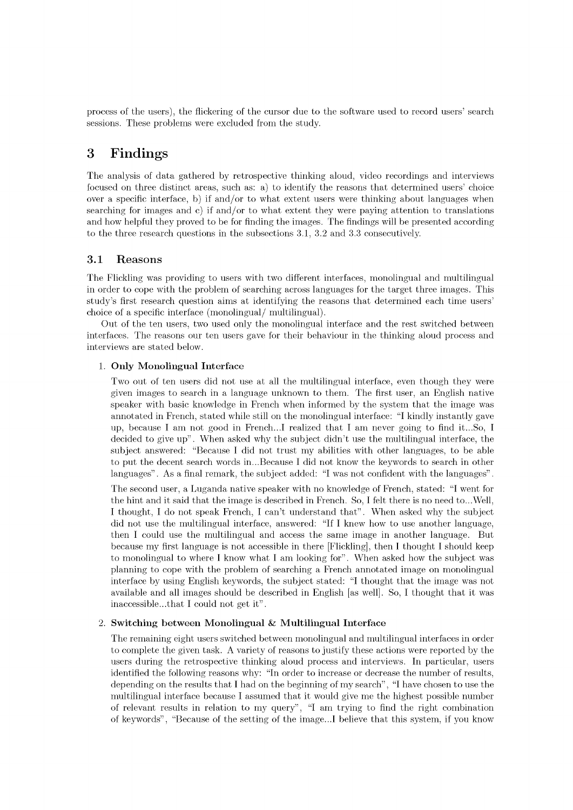process of the users), the flickering of the cursor due to the software used to record users' search sessions. These problems were excluded from the study.

# **3 Findings**

The analysis of data gathered by retrospective thinking aloud, video recordings and interviews focused on three distinct areas, such as: a) to identify the reasons that determined users' choice over a specific interface, b) if and/or to what extent users were thinking about languages when searching for images and c) if and/or to what extent they were paying attention to translations and how helpful they proved to be for finding the images. The findings will be presented according to the three research questions in the subsections 3.1, 3.2 and 3.3 consecutively.

## **3.1 Reasons**

The Flickling was providing to users with two different interfaces, monolingual and multilingual in order to cope with the problem of searching across languages for the target three images. This study's first research question aims at identifying the reasons that determined each time users' choice of a specific interface (monolingual/ multilingual).

Out of the ten users, two used only the monolingual interface and the rest switched between interfaces. The reasons our ten users gave for their behaviour in the thinking aloud process and interviews are stated below.

#### 1. Only Monolingual Interface

Two out of ten users did not use at all the multilingual interface, even though they were given images to search in a language unknown to them. The first user, an English native speaker with basic knowledge in French when informed by the system that the image was annotated in French, stated while still on the monolingual interface: "I kindly instantly gave up, because I am not good in French...I realized that I am never going to find it...So, I decided to give up". When asked why the subject didn't use the multilingual interface, the subject answered: "Because I did not trust my abilities with other languages, to be able to put the decent search words in...Because I did not know the keywords to search in other languages". As a final remark, the subject added: "I was not confident with the languages".

The second user, a Luganda native speaker with no knowledge of French, stated: "I went for the hint and it said that the image is described in French. So, I felt there is no need to...Well, I thought, I do not speak French, I can't understand that" . When asked why the subject did not use the multilingual interface, answered: "If I knew how to use another language, then I could use the multilingual and access the same image in another language. But because my first language is not accessible in there [Flickling], then I thought I should keep to monolingual to where I know what I am looking for" . When asked how the subject was planning to cope with the problem of searching a French annotated image on monolingual interface by using English keywords, the subject stated: "I thought that the image was not available and all images should be described in English [as well]. So, I thought that it was inaccessible...that I could not get it" .

#### 2. Switching between Monolingual  $\&$  Multilingual Interface

The remaining eight users switched between monolingual and multilingual interfaces in order to complete the given task. A variety of reasons to justify these actions were reported by the users during the retrospective thinking aloud process and interviews. In particular, users identified the following reasons why: "In order to increase or decrease the number of results, depending on the results that I had on the beginning of my search" , "I have chosen to use the multilingual interface because I assumed that it would give me the highest possible number of relevant results in relation to my query", "I am trying to find the right combination of keywords" , "Because of the setting of the image...I believe that this system, if you know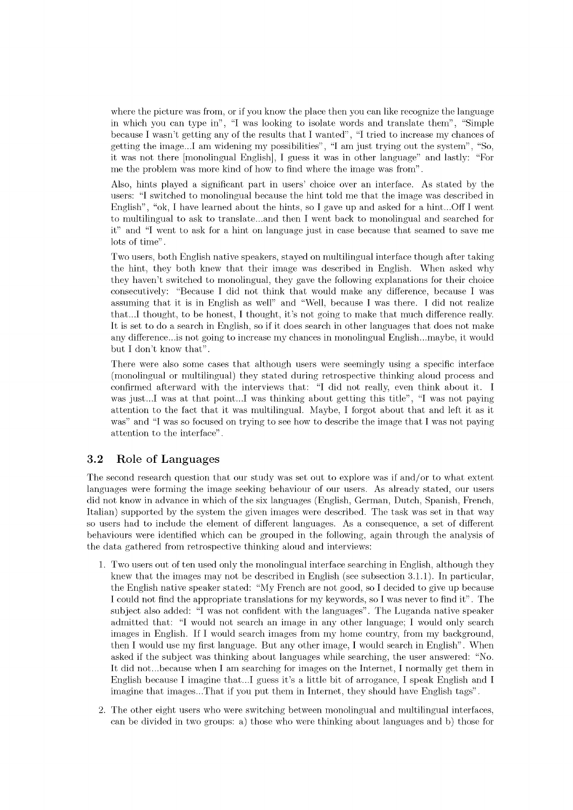where the picture was from, or if you know the place then you can like recognize the language in which you can type in", "I was looking to isolate words and translate them", "Simple because I wasn't getting any of the results that I wanted" , "I tried to increase my chances of getting the image...I am widening my possibilities" , "I am just trying out the system" , "So, it was not there [monolingual English], I guess it was in other language" and lastly: "For me the problem was more kind of how to find where the image was from" .

Also, hints played a significant part in users' choice over an interface. As stated by the users: "I switched to monolingual because the hint told me that the image was described in English", "ok, I have learned about the hints, so I gave up and asked for a hint...Off I went to multilingual to ask to translate...and then I went back to monolingual and searched for it" and "I went to ask for a hint on language just in case because that seamed to save me lots of time" .

Two users, both English native speakers, stayed on multilingual interface though after taking the hint, they both knew that their image was described in English. When asked why they haven't switched to monolingual, they gave the following explanations for their choice consecutively: "Because I did not think that would make any difference, because I was assuming that it is in English as well" and "Well, because I was there. I did not realize that... I thought, to be honest, I thought, it's not going to make that much difference really. It is set to do a search in English, so if it does search in other languages that does not make any difference...is not going to increase my chances in monolingual English...maybe, it would but I don't know that" .

There were also some cases that although users were seemingly using a specific interface (monolingual or multilingual) they stated during retrospective thinking aloud process and confirmed afterward with the interviews that: "I did not really, even think about it. I was just... I was at that point... I was thinking about getting this title", "I was not paying attention to the fact that it was multilingual. Maybe, I forgot about that and left it as it was" and "I was so focused on trying to see how to describe the image that I was not paying attention to the interface" .

### **3.2 Role of Languages**

The second research question that our study was set out to explore was if and/or to what extent languages were forming the image seeking behaviour of our users. As already stated, our users did not know in advance in which of the six languages (English, German, Dutch, Spanish, French, Italian) supported by the system the given images were described. The task was set in that way so users had to include the element of different languages. As a consequence, a set of different behaviours were identified which can be grouped in the following, again through the analysis of the data gathered from retrospective thinking aloud and interviews:

- 1. Two users out of ten used only the monolingual interface searching in English, although they knew that the images may not be described in English (see subsection 3.1.1). In particular, the English native speaker stated: "My French are not good, so I decided to give up because I could not find the appropriate translations for my keywords, so I was never to find it" . The subject also added: "I was not confident with the languages". The Luganda native speaker admitted that: "I would not search an image in any other language; I would only search images in English. If I would search images from my home country, from my background, then I would use my first language. But any other image, I would search in English" . When asked if the subject was thinking about languages while searching, the user answered: "No. It did not...because when I am searching for images on the Internet, I normally get them in English because I imagine that...I guess it's a little bit of arrogance, I speak English and I imagine that images...That if you put them in Internet, they should have English tags" .
- 2. The other eight users who were switching between monolingual and multilingual interfaces, can be divided in two groups: a) those who were thinking about languages and b) those for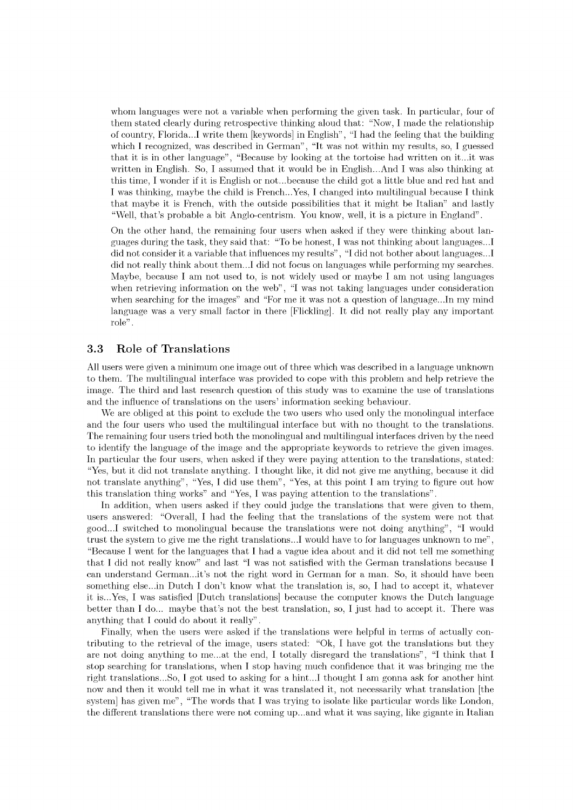whom languages were not a variable when performing the given task. In particular, four of them stated clearly during retrospective thinking aloud that: "Now, I made the relationship of country, Florida...I write them [keywords] in English" , "I had the feeling that the building which I recognized, was described in German", "It was not within my results, so, I guessed that it is in other language" , "Because by looking at the tortoise had written on it...it was written in English. So, I assumed that it would be in English...And I was also thinking at this time, I wonder if it is English or not...because the child got a little blue and red hat and I was thinking, maybe the child is French...Yes, I changed into multilingual because I think that maybe it is French, with the outside possibilities that it might be Italian" and lastly "Well, that's probable a bit Anglo-centrism. You know, well, it is a picture in England" .

On the other hand, the remaining four users when asked if they were thinking about languages during the task, they said that: "To be honest, I was not thinking about languages...I did not consider it a variable that influences my results", "I did not bother about languages...I did not really think about them...I did not focus on languages while performing my searches. Maybe, because I am not used to, is not widely used or maybe I am not using languages when retrieving information on the web", "I was not taking languages under consideration when searching for the images" and "For me it was not a question of language...In my mind language was a very small factor in there [Flickling]. It did not really play any important role" .

#### **3.3 Role of Translations**

All users were given a minimum one image out of three which was described in a language unknown to them. The multilingual interface was provided to cope with this problem and help retrieve the image. The third and last research question of this study was to examine the use of translations and the influence of translations on the users' information seeking behaviour.

We are obliged at this point to exclude the two users who used only the monolingual interface and the four users who used the multilingual interface but with no thought to the translations. The remaining four users tried both the monolingual and multilingual interfaces driven by the need to identify the language of the image and the appropriate keywords to retrieve the given images. In particular the four users, when asked if they were paying attention to the translations, stated: "Yes, but it did not translate anything. I thought like, it did not give me anything, because it did not translate anything", "Yes, I did use them", "Yes, at this point I am trying to figure out how this translation thing works" and "Yes, I was paying attention to the translations" .

In addition, when users asked if they could judge the translations that were given to them, users answered: "Overall, I had the feeling that the translations of the system were not that good... I switched to monolingual because the translations were not doing anything" , "I would trust the system to give me the right translations... I would have to for languages unknown to me" , "Because I went for the languages that I had a vague idea about and it did not tell me something that I did not really know" and last "I was not satisfied with the German translations because I can understand German...it's not the right word in German for a man. So, it should have been something else...in Dutch I don't know what the translation is, so, I had to accept it, whatever it is...Yes, I was satisfied [Dutch translations] because the computer knows the Dutch language better than I do... maybe that's not the best translation, so, I just had to accept it. There was anything that I could do about it really" .

Finally, when the users were asked if the translations were helpful in terms of actually contributing to the retrieval of the image, users stated: "Ok, I have got the translations but they are not doing anything to me...at the end, I totally disregard the translations" , "I think that I stop searching for translations, when I stop having much confidence that it was bringing me the right translations...So, I got used to asking for a hint... I thought I am gonna ask for another hint now and then it would tell me in what it was translated it, not necessarily what translation [the system] has given me", "The words that I was trying to isolate like particular words like London, the different translations there were not coming up...and what it was saying, like gigante in Italian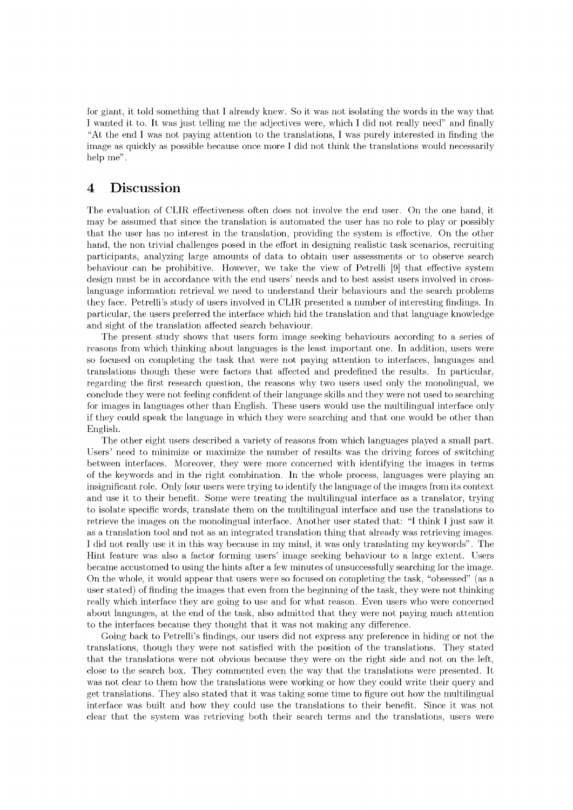for giant, it told something that I already knew. So it was not isolating the words in the way that I wanted it to. It was just telling me the adjectives were, which I did not really need" and finally "At the end I was not paying attention to the translations, I was purely interested in finding the image as quickly as possible because once more I did not think the translations would necessarily help me".

# **4 Discussion**

The evaluation of CLIR effectiveness often does not involve the end user. On the one hand, it may be assumed that since the translation is automated the user has no role to play or possibly that the user has no interest in the translation, providing the system is effective. On the other hand, the non trivial challenges posed in the effort in designing realistic task scenarios, recruiting participants, analyzing large amounts of data to obtain user assessments or to observe search behaviour can be prohibitive. However, we take the view of Petrelli [9] that effective system design must be in accordance with the end users' needs and to best assist users involved in crosslanguage information retrieval we need to understand their behaviours and the search problems they face. Petrelli's study of users involved in CLIR presented a number of interesting findings. In particular, the users preferred the interface which hid the translation and that language knowledge and sight of the translation affected search behaviour.

The present study shows that users form image seeking behaviours according to a series of reasons from which thinking about languages is the least important one. In addition, users were so focused on completing the task that were not paying attention to interfaces, languages and translations though these were factors that affected and predefined the results. In particular, regarding the first research question, the reasons why two users used only the monolingual, we conclude they were not feeling confident of their language skills and they were not used to searching for images in languages other than English. These users would use the multilingual interface only if they could speak the language in which they were searching and that one would be other than English.

The other eight users described a variety of reasons from which languages played a small part. Users' need to minimize or maximize the number of results was the driving forces of switching between interfaces. Moreover, they were more concerned with identifying the images in terms of the keywords and in the right combination. In the whole process, languages were playing an insignificant role. Only four users were trying to identify the language of the images from its context and use it to their benefit. Some were treating the multilingual interface as a translator, trying to isolate specific words, translate them on the multilingual interface and use the translations to retrieve the images on the monolingual interface. Another user stated that: "I think I just saw it as a translation tool and not as an integrated translation thing that already was retrieving images. I did not really use it in this way because in my mind, it was only translating my keywords" . The Hint feature was also a factor forming users' image seeking behaviour to a large extent. Users became accustomed to using the hints after a few minutes of unsuccessfully searching for the image. On the whole, it would appear that users were so focused on completing the task, "obsessed" (as a user stated) of finding the images that even from the beginning of the task, they were not thinking really which interface they are going to use and for what reason. Even users who were concerned about languages, at the end of the task, also admitted that they were not paying much attention to the interfaces because they thought that it was not making any difference.

Going back to Petrelli's findings, our users did not express any preference in hiding or not the translations, though they were not satisfied with the position of the translations. They stated that the translations were not obvious because they were on the right side and not on the left, close to the search box. They commented even the way that the translations were presented. It was not clear to them how the translations were working or how they could write their query and get translations. They also stated that it was taking some time to figure out how the multilingual interface was built and how they could use the translations to their benefit. Since it was not clear that the system was retrieving both their search terms and the translations, users were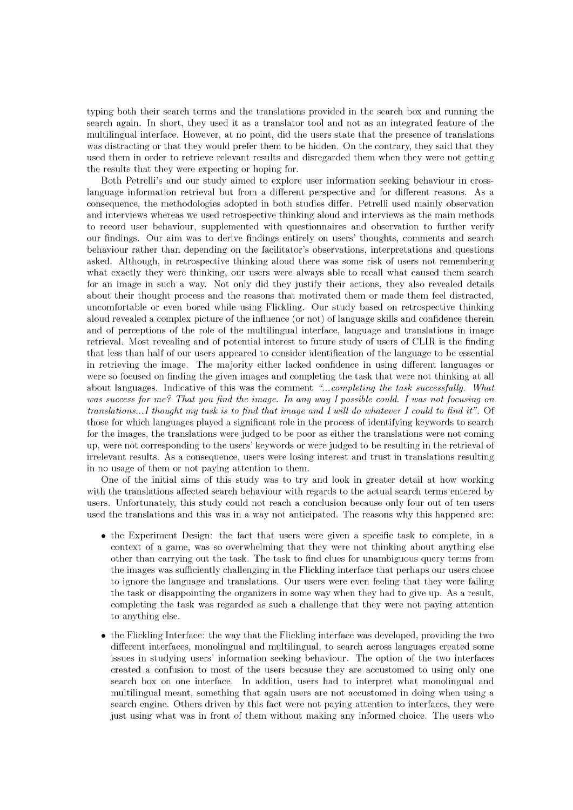typing both their search terms and the translations provided in the search box and running the search again. In short, they used it as a translator tool and not as an integrated feature of the multilingual interface. However, at no point, did the users state that the presence of translations was distracting or that they would prefer them to be hidden. On the contrary, they said that they used them in order to retrieve relevant results and disregarded them when they were not getting the results that they were expecting or hoping for.

Both Petrelli's and our study aimed to explore user information seeking behaviour in crosslanguage information retrieval but from a different perspective and for different reasons. As a consequence, the methodologies adopted in both studies differ. Petrelli used mainly observation and interviews whereas we used retrospective thinking aloud and interviews as the main methods to record user behaviour, supplemented with questionnaires and observation to further verify our findings. Our aim was to derive findings entirely on users' thoughts, comments and search behaviour rather than depending on the facilitator's observations, interpretations and questions asked. Although, in retrospective thinking aloud there was some risk of users not remembering what exactly they were thinking, our users were always able to recall what caused them search for an image in such a way. Not only did they justify their actions, they also revealed details about their thought process and the reasons that motivated them or made them feel distracted, uncomfortable or even bored while using Flickling. Our study based on retrospective thinking aloud revealed a complex picture of the influence (or not) of language skills and confidence therein and of perceptions of the role of the multilingual interface, language and translations in image retrieval. Most revealing and of potential interest to future study of users of CLIR is the finding that less than half of our users appeared to consider identification of the language to be essential in retrieving the image. The majority either lacked confidence in using different languages or were so focused on finding the given images and completing the task that were not thinking at all about languages. Indicative of this was the comment *"...completing the task successfully. What was success for m e? That you find the image. In any way I possible could. I was not focusing on translations...I thought my task is to find that image and I will do whatever I could to find it".* Of those for which languages played a significant role in the process of identifying keywords to search for the images, the translations were judged to be poor as either the translations were not coming up, were not corresponding to the users' keywords or were judged to be resulting in the retrieval of irrelevant results. As a consequence, users were losing interest and trust in translations resulting in no usage of them or not paying attention to them.

One of the initial aims of this study was to try and look in greater detail at how working with the translations affected search behaviour with regards to the actual search terms entered by users. Unfortunately, this study could not reach a conclusion because only four out of ten users used the translations and this was in a way not anticipated. The reasons why this happened are:

- the Experiment Design: the fact that users were given a specific task to complete, in a context of a game, was so overwhelming that they were not thinking about anything else other than carrying out the task. The task to find clues for unambiguous query terms from the images was sufficiently challenging in the Flickling interface that perhaps our users chose to ignore the language and translations. Our users were even feeling that they were failing the task or disappointing the organizers in some way when they had to give up. As a result, completing the task was regarded as such a challenge that they were not paying attention to anything else.
- the Flickling Interface: the way that the Flickling interface was developed, providing the two different interfaces, monolingual and multilingual, to search across languages created some issues in studying users' information seeking behaviour. The option of the two interfaces created a confusion to most of the users because they are accustomed to using only one search box on one interface. In addition, users had to interpret what monolingual and multilingual meant, something that again users are not accustomed in doing when using a search engine. Others driven by this fact were not paying attention to interfaces, they were just using what was in front of them without making any informed choice. The users who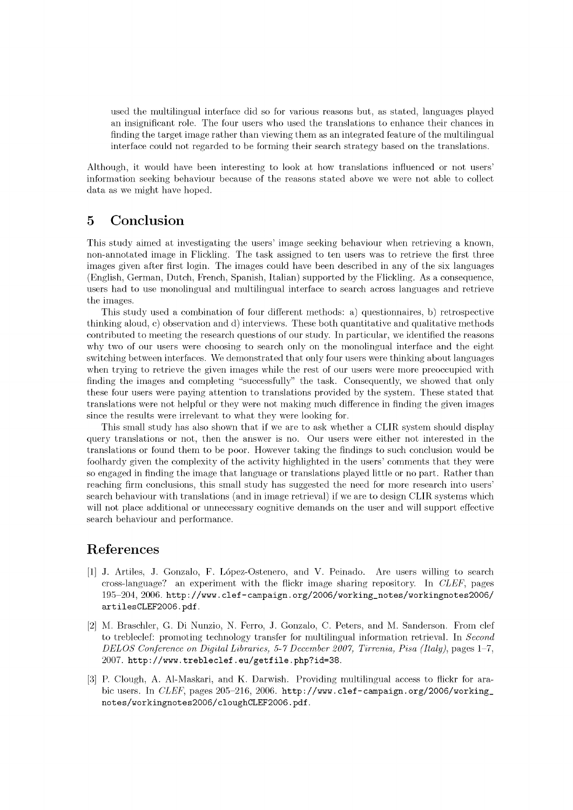used the multilingual interface did so for various reasons but, as stated, languages played an insignificant role. The four users who used the translations to enhance their chances in finding the target image rather than viewing them as an integrated feature of the multilingual interface could not regarded to be forming their search strategy based on the translations.

Although, it would have been interesting to look at how translations influenced or not users' information seeking behaviour because of the reasons stated above we were not able to collect data as we might have hoped.

# **5 Conclusion**

This study aimed at investigating the users' image seeking behaviour when retrieving a known, non-annotated image in Flickling. The task assigned to ten users was to retrieve the first three images given after first login. The images could have been described in any of the six languages (English, German, Dutch, French, Spanish, Italian) supported by the Flickling. As a consequence, users had to use monolingual and multilingual interface to search across languages and retrieve the images.

This study used a combination of four different methods: a) questionnaires, b) retrospective thinking aloud, c) observation and d) interviews. These both quantitative and qualitative methods contributed to meeting the research questions of our study. In particular, we identified the reasons why two of our users were choosing to search only on the monolingual interface and the eight switching between interfaces. We demonstrated that only four users were thinking about languages when trying to retrieve the given images while the rest of our users were more preoccupied with finding the images and completing "successfully" the task. Consequently, we showed that only these four users were paying attention to translations provided by the system. These stated that translations were not helpful or they were not making much difference in finding the given images since the results were irrelevant to what they were looking for.

This small study has also shown that if we are to ask whether a CLIR system should display query translations or not, then the answer is no. Our users were either not interested in the translations or found them to be poor. However taking the findings to such conclusion would be foolhardy given the complexity of the activity highlighted in the users' comments that they were so engaged in finding the image that language or translations played little or no part. Rather than reaching firm conclusions, this small study has suggested the need for more research into users' search behaviour with translations (and in image retrieval) if we are to design CLIR systems which will not place additional or unnecessary cognitive demands on the user and will support effective search behaviour and performance.

# **References**

- [1] J. Artiles, J. Gonzalo, F. Lopez-Ostenero, and V. Peinado. Are users willing to search cross-language? an experiment with the flickr image sharing repository. In *CLEF,* pages 195-204, 2006. **[http://www.clef-campaign.org/2006/working\\_notes/workingnotes2006/](http://www.clef-campaign.org/2006/working_notes/workingnotes2006/) artilesCLEF2006.pdf**.
- [2] M. Braschler, G. Di Nunzio, N. Ferro, J. Gonzalo, C. Peters, and M. Sanderson. From clef to trebleclef: promoting technology transfer for multilingual information retrieval. In *Second DELOS Conference on Digital Libraries, 5-7 December 2007, Tirrenia, Pisa (Italy),* pages 1-7, 2007. **<http://www.trebleclef.eu/getfile.php?id=38>**.
- [3] P. Clough, A. Al-Maskari, and K. Darwish. Providing multilingual access to flickr for arabic users. In *CLEF,* pages 205-216, 2006. **[http://www.clef-campaign.org/2006/working\\_](http://www.clef-campaign.org/2006/working_) notes/workingnotes2006/cloughCLEF2006.pdf**.